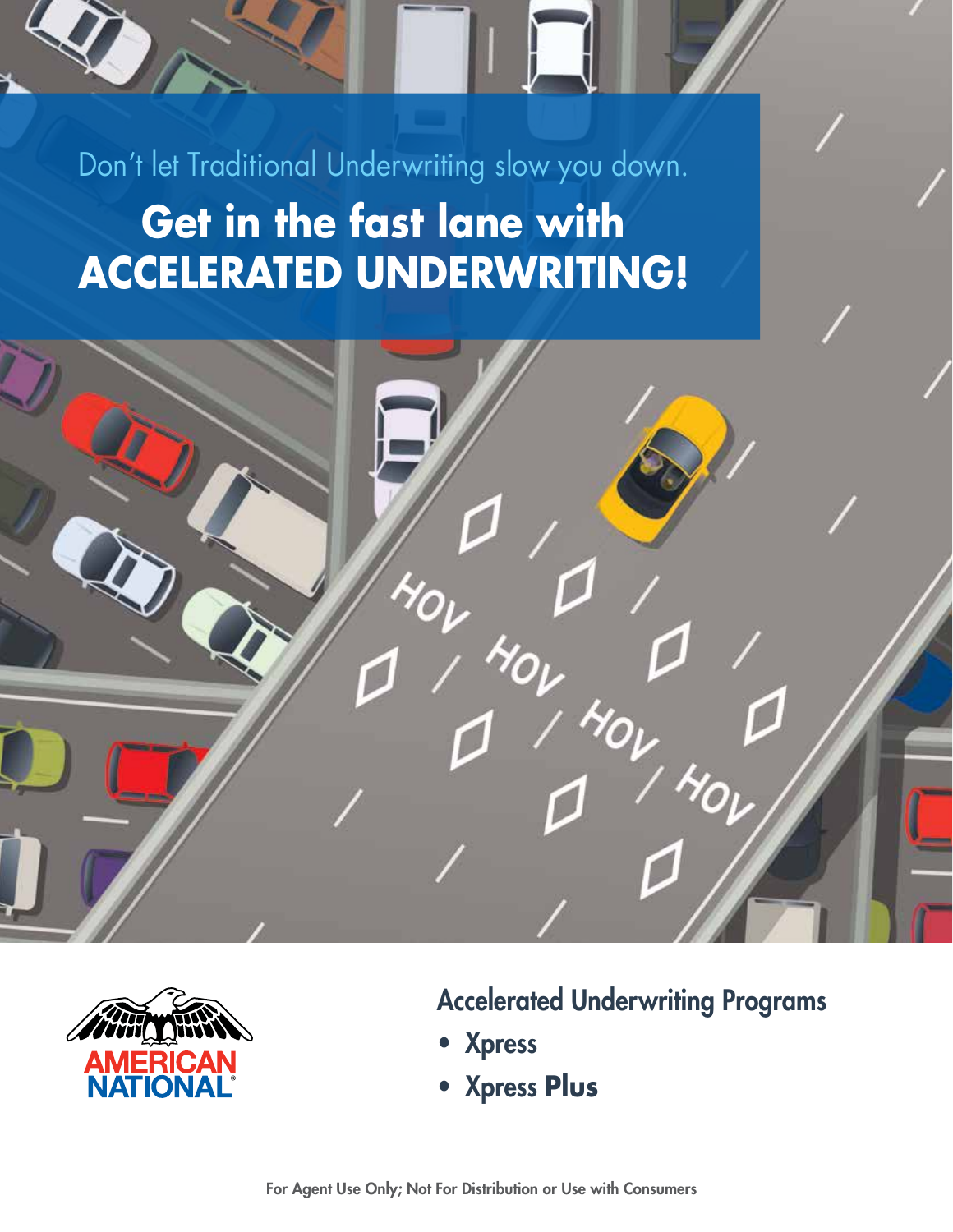Don't let Traditional Underwriting slow you down. **Get in the fast lane with ACCELERATED UNDERWRITING!**





Accelerated Underwriting Programs

- Xpress
- Xpress **Plus**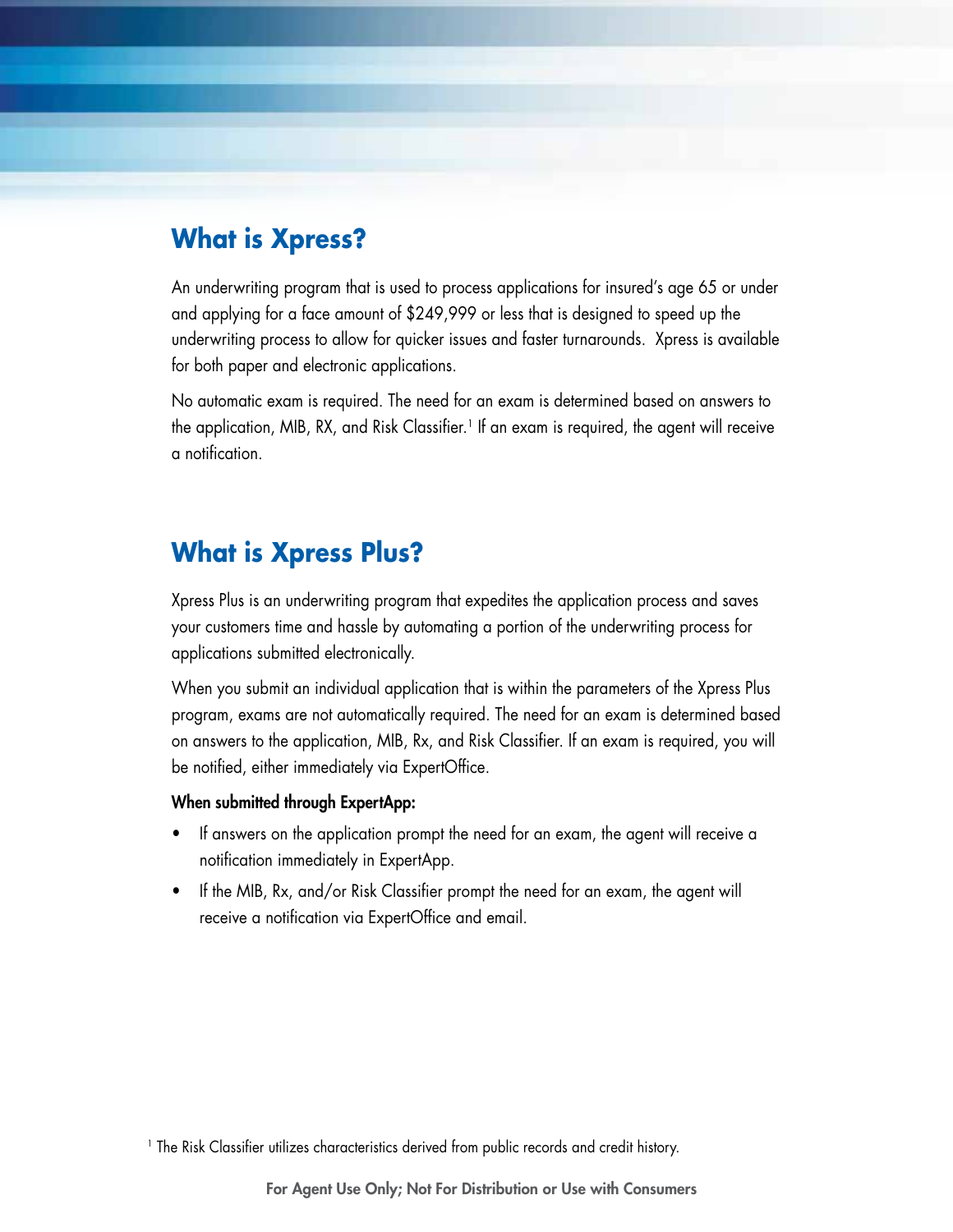## **What is Xpress?**

An underwriting program that is used to process applications for insured's age 65 or under and applying for a face amount of \$249,999 or less that is designed to speed up the underwriting process to allow for quicker issues and faster turnarounds. Xpress is available for both paper and electronic applications.

No automatic exam is required. The need for an exam is determined based on answers to the application, MIB, RX, and Risk Classifier.<sup>1</sup> If an exam is required, the agent will receive a notification.

#### **What is Xpress Plus?**

Xpress Plus is an underwriting program that expedites the application process and saves your customers time and hassle by automating a portion of the underwriting process for applications submitted electronically.

When you submit an individual application that is within the parameters of the Xpress Plus program, exams are not automatically required. The need for an exam is determined based on answers to the application, MIB, Rx, and Risk Classifier. If an exam is required, you will be notified, either immediately via ExpertOffice.

#### When submitted through ExpertApp:

- If answers on the application prompt the need for an exam, the agent will receive a notification immediately in ExpertApp.
- If the MIB, Rx, and/or Risk Classifier prompt the need for an exam, the agent will receive a notification via ExpertOffice and email.

<sup>&</sup>lt;sup>1</sup> The Risk Classifier utilizes characteristics derived from public records and credit history.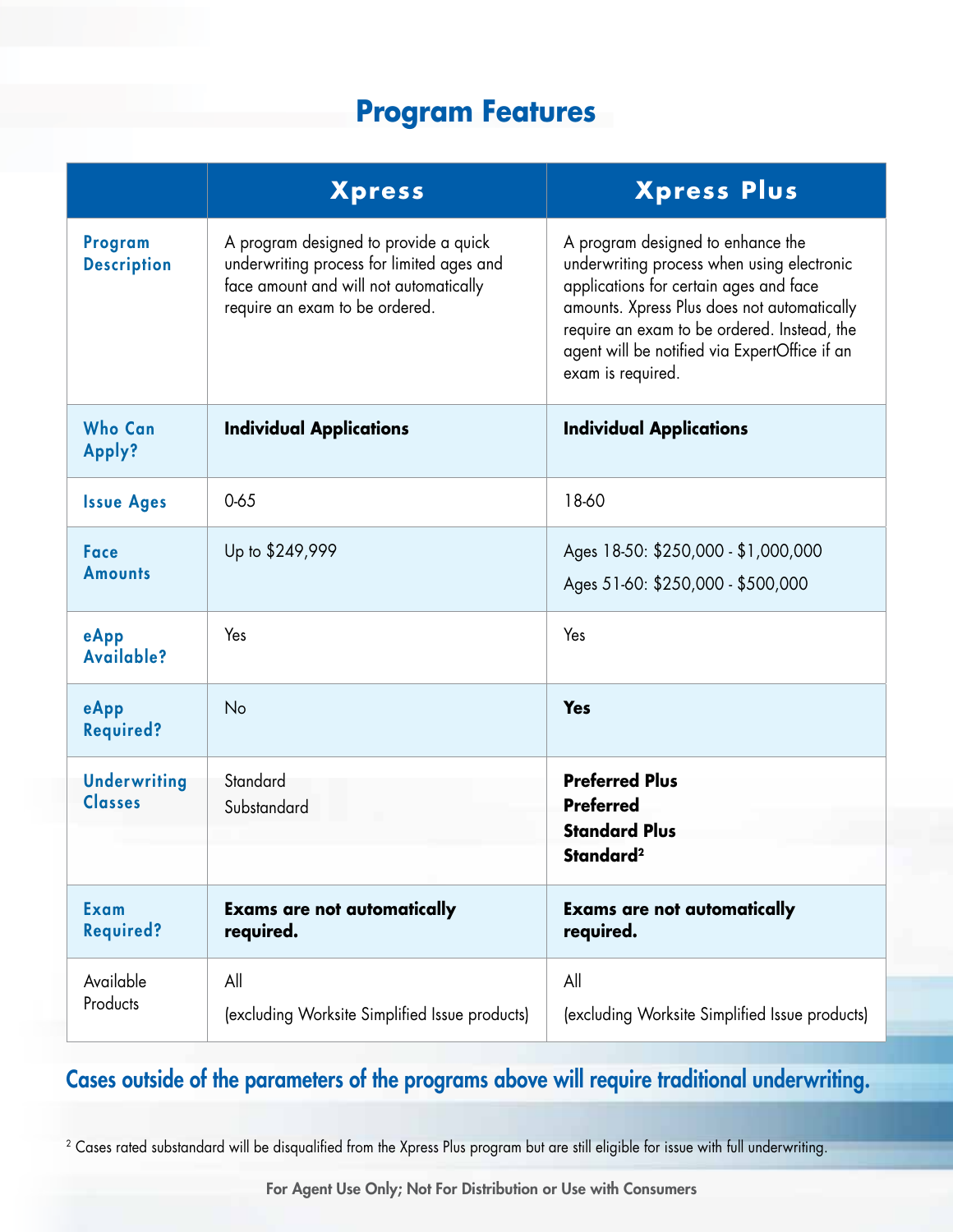# **Program Features**

|                                       | <b>Xpress</b>                                                                                                                                                  | <b>Xpress Plus</b>                                                                                                                                                                                                                                                                            |
|---------------------------------------|----------------------------------------------------------------------------------------------------------------------------------------------------------------|-----------------------------------------------------------------------------------------------------------------------------------------------------------------------------------------------------------------------------------------------------------------------------------------------|
| Program<br><b>Description</b>         | A program designed to provide a quick<br>underwriting process for limited ages and<br>face amount and will not automatically<br>require an exam to be ordered. | A program designed to enhance the<br>underwriting process when using electronic<br>applications for certain ages and face<br>amounts. Xpress Plus does not automatically<br>require an exam to be ordered. Instead, the<br>agent will be notified via ExpertOffice if an<br>exam is required. |
| <b>Who Can</b><br>Apply?              | <b>Individual Applications</b>                                                                                                                                 | <b>Individual Applications</b>                                                                                                                                                                                                                                                                |
| <b>Issue Ages</b>                     | 0.65                                                                                                                                                           | 18-60                                                                                                                                                                                                                                                                                         |
| <b>Face</b><br><b>Amounts</b>         | Up to \$249,999                                                                                                                                                | Ages 18-50: \$250,000 - \$1,000,000<br>Ages 51-60: \$250,000 - \$500,000                                                                                                                                                                                                                      |
| eApp<br>Available?                    | Yes                                                                                                                                                            | Yes                                                                                                                                                                                                                                                                                           |
| eApp<br><b>Required?</b>              | No                                                                                                                                                             | <b>Yes</b>                                                                                                                                                                                                                                                                                    |
| <b>Underwriting</b><br><b>Classes</b> | Standard<br>Substandard                                                                                                                                        | <b>Preferred Plus</b><br><b>Preferred</b><br><b>Standard Plus</b><br>Standard <sup>2</sup>                                                                                                                                                                                                    |
|                                       |                                                                                                                                                                |                                                                                                                                                                                                                                                                                               |
| Exam<br><b>Required?</b>              | <b>Exams are not automatically</b><br>required.                                                                                                                | <b>Exams are not automatically</b><br>required.                                                                                                                                                                                                                                               |
| Available<br>Products                 | All<br>(excluding Worksite Simplified Issue products)                                                                                                          | All<br>(excluding Worksite Simplified Issue products)                                                                                                                                                                                                                                         |

## Cases outside of the parameters of the programs above will require traditional underwriting.

<sup>2</sup> Cases rated substandard will be disqualified from the Xpress Plus program but are still eligible for issue with full underwriting.

For Agent Use Only; Not For Distribution or Use with Consumers